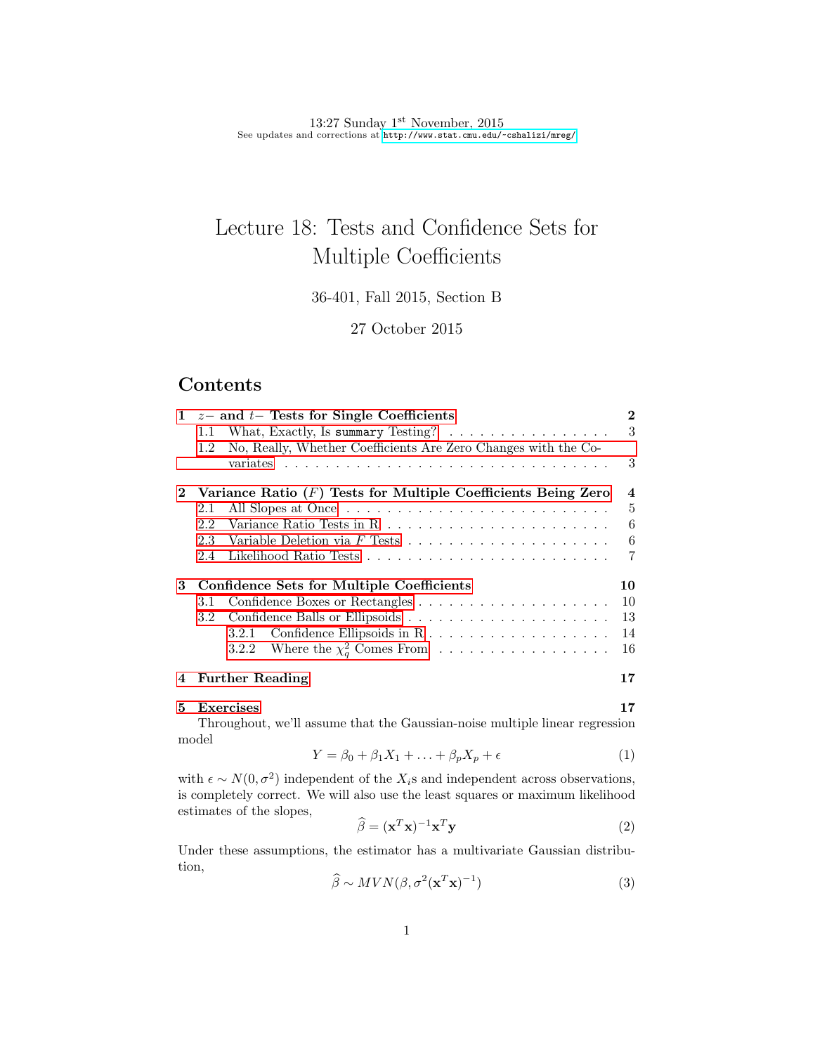13:27 Sunday 1<sup>st</sup> November, 2015 See updates and corrections at <http://www.stat.cmu.edu/~cshalizi/mreg/>

# Lecture 18: Tests and Confidence Sets for Multiple Coefficients

36-401, Fall 2015, Section B

27 October 2015

# Contents

| $\mathbf{1}$ |                                                                 | $z-$ and $t-$ Tests for Single Coefficients                                        | $\mathbf 2$             |
|--------------|-----------------------------------------------------------------|------------------------------------------------------------------------------------|-------------------------|
|              | 1.1                                                             | What, Exactly, Is summary Testing? $\ldots \ldots \ldots \ldots \ldots$            | 3                       |
|              | 1.2                                                             | No, Really, Whether Coefficients Are Zero Changes with the Co-                     |                         |
|              |                                                                 |                                                                                    | 3                       |
|              | Variance Ratio $(F)$ Tests for Multiple Coefficients Being Zero |                                                                                    | $\overline{\mathbf{4}}$ |
|              | 2.1                                                             |                                                                                    | $\frac{5}{2}$           |
|              | 2.2                                                             |                                                                                    | 6                       |
|              | 2.3                                                             | Variable Deletion via $F$ Tests $\ldots \ldots \ldots \ldots \ldots \ldots \ldots$ | 6                       |
|              | 2.4                                                             |                                                                                    | 7                       |
| 3            | Confidence Sets for Multiple Coefficients                       |                                                                                    | 10                      |
|              | 3.1                                                             |                                                                                    | 10                      |
|              | $3.2^{\circ}$                                                   |                                                                                    | 13                      |
|              |                                                                 |                                                                                    | 14                      |
|              |                                                                 | 3.2.2 Where the $\chi^2_{q}$ Comes From                                            | 16                      |
| 4            |                                                                 | <b>Further Reading</b>                                                             | 17                      |
| 5.           |                                                                 | Exercises                                                                          | 17                      |

Throughout, we'll assume that the Gaussian-noise multiple linear regression model

$$
Y = \beta_0 + \beta_1 X_1 + \ldots + \beta_p X_p + \epsilon \tag{1}
$$

with  $\epsilon \sim N(0, \sigma^2)$  independent of the  $X_i$ s and independent across observations, is completely correct. We will also use the least squares or maximum likelihood estimates of the slopes,  $\overline{a}$ 

$$
\widehat{\beta} = (\mathbf{x}^T \mathbf{x})^{-1} \mathbf{x}^T \mathbf{y}
$$
 (2)

Under these assumptions, the estimator has a multivariate Gaussian distribution,

$$
\widehat{\beta} \sim MVN(\beta, \sigma^2(\mathbf{x}^T \mathbf{x})^{-1})
$$
\n(3)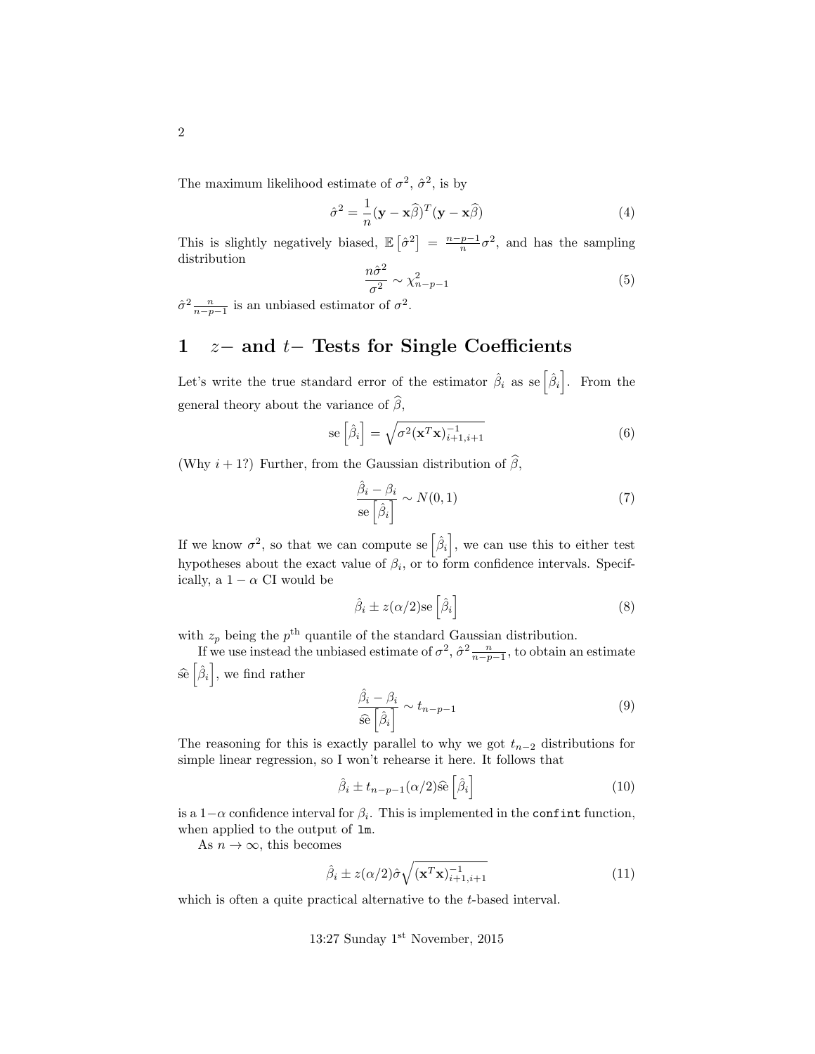The maximum likelihood estimate of  $\sigma^2$ ,  $\hat{\sigma}^2$ , is by

$$
\hat{\sigma}^2 = \frac{1}{n} (\mathbf{y} - \mathbf{x}\hat{\beta})^T (\mathbf{y} - \mathbf{x}\hat{\beta})
$$
(4)

This is slightly negatively biased,  $\mathbb{E}[\hat{\sigma}^2] = \frac{n-p-1}{n}\sigma^2$ , and has the sampling distribution

$$
\frac{n\hat{\sigma}^2}{\sigma^2} \sim \chi^2_{n-p-1} \tag{5}
$$

 $\hat{\sigma}^2 \frac{n}{n-p-1}$  is an unbiased estimator of  $\sigma^2$ .

# <span id="page-1-0"></span>1  $z-$  and  $t-$  Tests for Single Coefficients

Let's write the true standard error of the estimator  $\hat{\beta}_i$  as se $\left[\hat{\beta}_i\right]$ . From the general theory about the variance of  $\widehat{\beta}$ ,

$$
\text{se}\left[\hat{\beta}_i\right] = \sqrt{\sigma^2 (\mathbf{x}^T \mathbf{x})_{i+1, i+1}^{-1}} \tag{6}
$$

(Why  $i + 1$ ?) Further, from the Gaussian distribution of  $\widehat{\beta}$ ,

$$
\frac{\hat{\beta}_i - \beta_i}{\text{se}\left[\hat{\beta}_i\right]} \sim N(0, 1) \tag{7}
$$

If we know  $\sigma^2$ , so that we can compute se  $\left[\hat{\beta}_i\right]$ , we can use this to either test hypotheses about the exact value of  $\beta_i$ , or to form confidence intervals. Specifically, a  $1 - \alpha$  CI would be

$$
\hat{\beta}_i \pm z(\alpha/2) \text{se}\left[\hat{\beta}_i\right]
$$
\n(8)

with  $z_p$  being the  $p<sup>th</sup>$  quantile of the standard Gaussian distribution.

If we use instead the unbiased estimate of  $\sigma^2$ ,  $\hat{\sigma}^2 \frac{n}{n-p-1}$ , to obtain an estimate  $\hat{\mathbf{se}}\left[\hat{\beta}_i\right]$ , we find rather

$$
\frac{\hat{\beta}_i - \beta_i}{\hat{\text{se}}\left[\hat{\beta}_i\right]} \sim t_{n-p-1} \tag{9}
$$

The reasoning for this is exactly parallel to why we got  $t_{n-2}$  distributions for simple linear regression, so I won't rehearse it here. It follows that

$$
\hat{\beta}_i \pm t_{n-p-1} (\alpha/2) \hat{\mathbf{se}} \left[ \hat{\beta}_i \right] \tag{10}
$$

is a  $1-\alpha$  confidence interval for  $\beta_i$ . This is implemented in the confint function, when applied to the output of lm.

As  $n \to \infty$ , this becomes

$$
\hat{\beta}_i \pm z(\alpha/2)\hat{\sigma}\sqrt{(\mathbf{x}^T\mathbf{x})_{i+1,i+1}^{-1}}
$$
\n(11)

which is often a quite practical alternative to the *t*-based interval.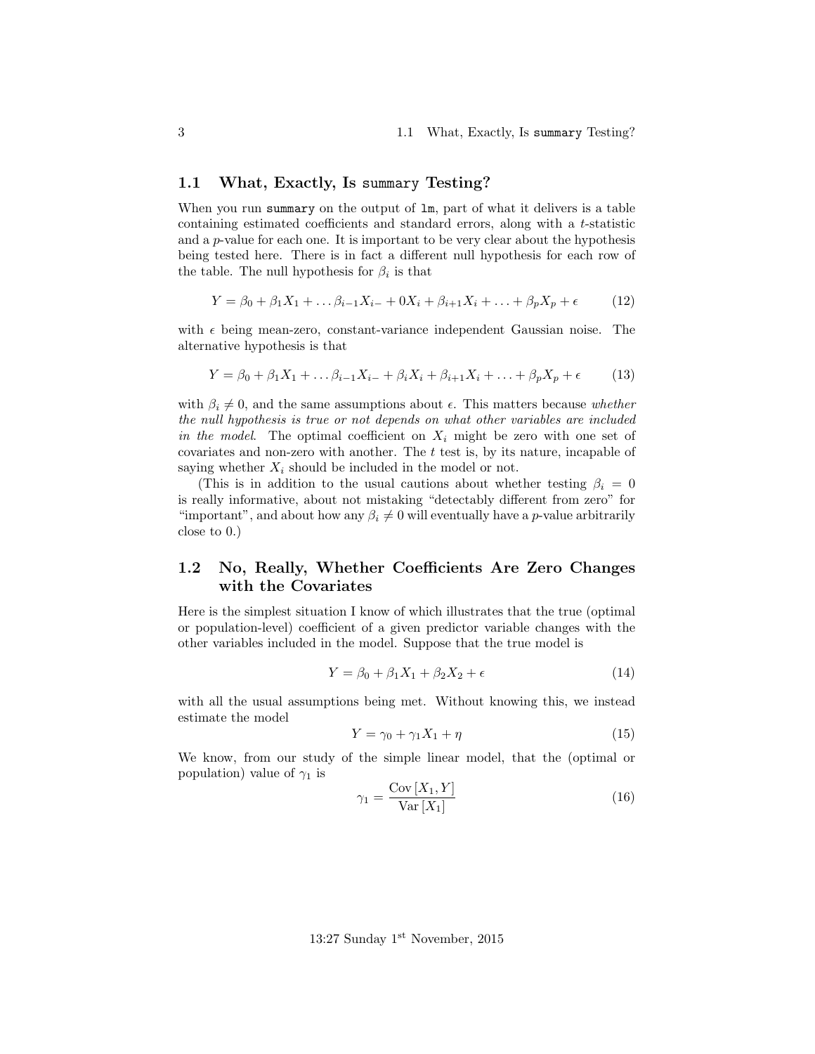### <span id="page-2-0"></span>1.1 What, Exactly, Is summary Testing?

When you run summary on the output of  $\text{lm}$ , part of what it delivers is a table containing estimated coefficients and standard errors, along with a t-statistic and a  $p$ -value for each one. It is important to be very clear about the hypothesis being tested here. There is in fact a different null hypothesis for each row of the table. The null hypothesis for  $\beta_i$  is that

$$
Y = \beta_0 + \beta_1 X_1 + \dots + \beta_{i-1} X_{i-} + 0 X_i + \beta_{i+1} X_i + \dots + \beta_p X_p + \epsilon \tag{12}
$$

with  $\epsilon$  being mean-zero, constant-variance independent Gaussian noise. The alternative hypothesis is that

$$
Y = \beta_0 + \beta_1 X_1 + \dots + \beta_{i-1} X_{i-} + \beta_i X_i + \beta_{i+1} X_i + \dots + \beta_p X_p + \epsilon \tag{13}
$$

with  $\beta_i \neq 0$ , and the same assumptions about  $\epsilon$ . This matters because whether the null hypothesis is true or not depends on what other variables are included in the model. The optimal coefficient on  $X_i$  might be zero with one set of covariates and non-zero with another. The  $t$  test is, by its nature, incapable of saying whether  $X_i$  should be included in the model or not.

(This is in addition to the usual cautions about whether testing  $\beta_i = 0$ is really informative, about not mistaking "detectably different from zero" for "important", and about how any  $\beta_i \neq 0$  will eventually have a p-value arbitrarily close to 0.)

## <span id="page-2-1"></span>1.2 No, Really, Whether Coefficients Are Zero Changes with the Covariates

Here is the simplest situation I know of which illustrates that the true (optimal or population-level) coefficient of a given predictor variable changes with the other variables included in the model. Suppose that the true model is

$$
Y = \beta_0 + \beta_1 X_1 + \beta_2 X_2 + \epsilon \tag{14}
$$

with all the usual assumptions being met. Without knowing this, we instead estimate the model

$$
Y = \gamma_0 + \gamma_1 X_1 + \eta \tag{15}
$$

We know, from our study of the simple linear model, that the (optimal or population) value of  $\gamma_1$  is

$$
\gamma_1 = \frac{\text{Cov}\left[X_1, Y\right]}{\text{Var}\left[X_1\right]} \tag{16}
$$

13:27 Sunday 1<sup>st</sup> November, 2015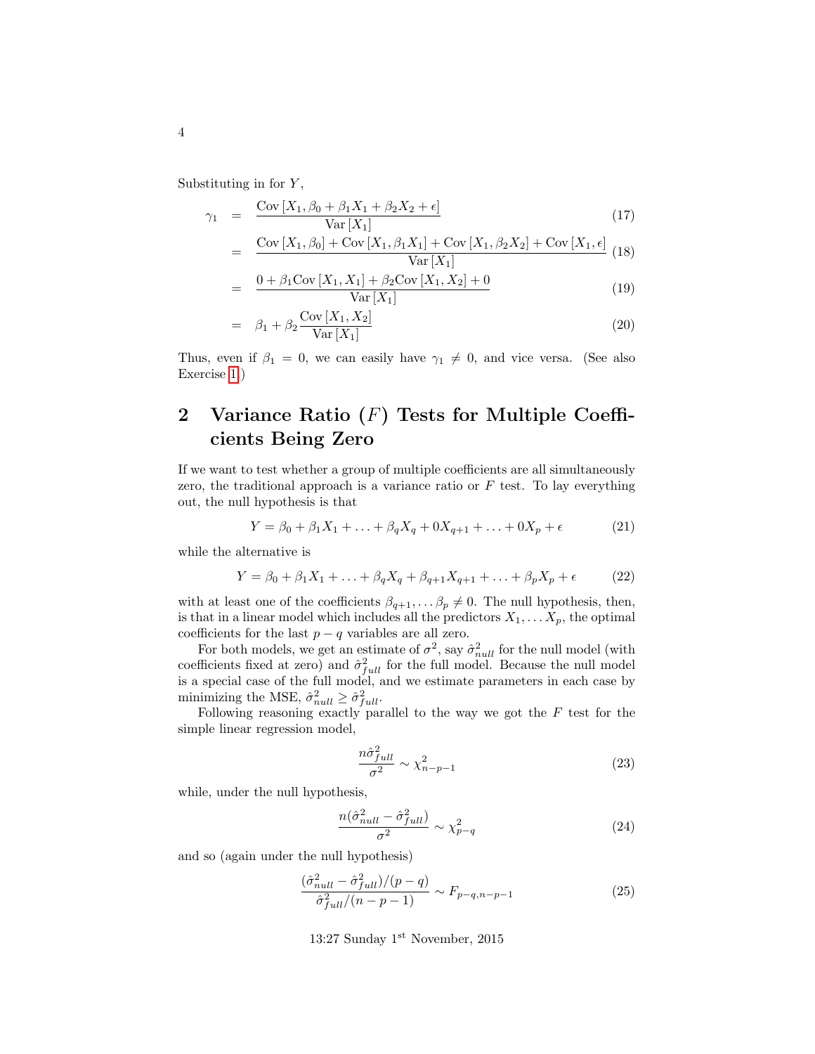Substituting in for  $Y$ ,

$$
\gamma_1 = \frac{\text{Cov}\left[X_1, \beta_0 + \beta_1 X_1 + \beta_2 X_2 + \epsilon\right]}{\text{Var}\left[X_1\right]} \tag{17}
$$

$$
= \frac{\text{Cov}[X_1, \beta_0] + \text{Cov}[X_1, \beta_1 X_1] + \text{Cov}[X_1, \beta_2 X_2] + \text{Cov}[X_1, \epsilon]}{\text{Var}[X_1]} (18)
$$

$$
= \frac{0 + \beta_1 \text{Cov}[X_1, X_1] + \beta_2 \text{Cov}[X_1, X_2] + 0}{\text{Var}[X_1]}
$$
(19)

$$
= \beta_1 + \beta_2 \frac{\text{Cov}[X_1, X_2]}{\text{Var}[X_1]}
$$
\n
$$
\tag{20}
$$

Thus, even if  $\beta_1 = 0$ , we can easily have  $\gamma_1 \neq 0$ , and vice versa. (See also Exercise [1.](#page-16-2))

# <span id="page-3-0"></span>2 Variance Ratio  $(F)$  Tests for Multiple Coefficients Being Zero

If we want to test whether a group of multiple coefficients are all simultaneously zero, the traditional approach is a variance ratio or  $F$  test. To lay everything out, the null hypothesis is that

$$
Y = \beta_0 + \beta_1 X_1 + \dots + \beta_q X_q + 0 X_{q+1} + \dots + 0 X_p + \epsilon \tag{21}
$$

while the alternative is

$$
Y = \beta_0 + \beta_1 X_1 + \ldots + \beta_q X_q + \beta_{q+1} X_{q+1} + \ldots + \beta_p X_p + \epsilon \tag{22}
$$

with at least one of the coefficients  $\beta_{q+1}, \ldots \beta_p \neq 0$ . The null hypothesis, then, is that in a linear model which includes all the predictors  $X_1, \ldots X_p$ , the optimal coefficients for the last  $p - q$  variables are all zero.

For both models, we get an estimate of  $\sigma^2$ , say  $\hat{\sigma}_{null}^2$  for the null model (with coefficients fixed at zero) and  $\hat{\sigma}_{full}^2$  for the full model. Because the null model is a special case of the full model, and we estimate parameters in each case by minimizing the MSE,  $\hat{\sigma}_{null}^2 \geq \hat{\sigma}_{full}^2$ .

Following reasoning exactly parallel to the way we got the  $F$  test for the simple linear regression model,

$$
\frac{n\hat{\sigma}_{full}^2}{\sigma^2} \sim \chi^2_{n-p-1} \tag{23}
$$

while, under the null hypothesis,

$$
\frac{n(\hat{\sigma}_{null}^2 - \hat{\sigma}_{full}^2)}{\sigma^2} \sim \chi_{p-q}^2 \tag{24}
$$

and so (again under the null hypothesis)

$$
\frac{(\hat{\sigma}_{null}^2 - \hat{\sigma}_{full}^2)/(p-q)}{\hat{\sigma}_{full}^2/(n-p-1)} \sim F_{p-q, n-p-1}
$$
\n(25)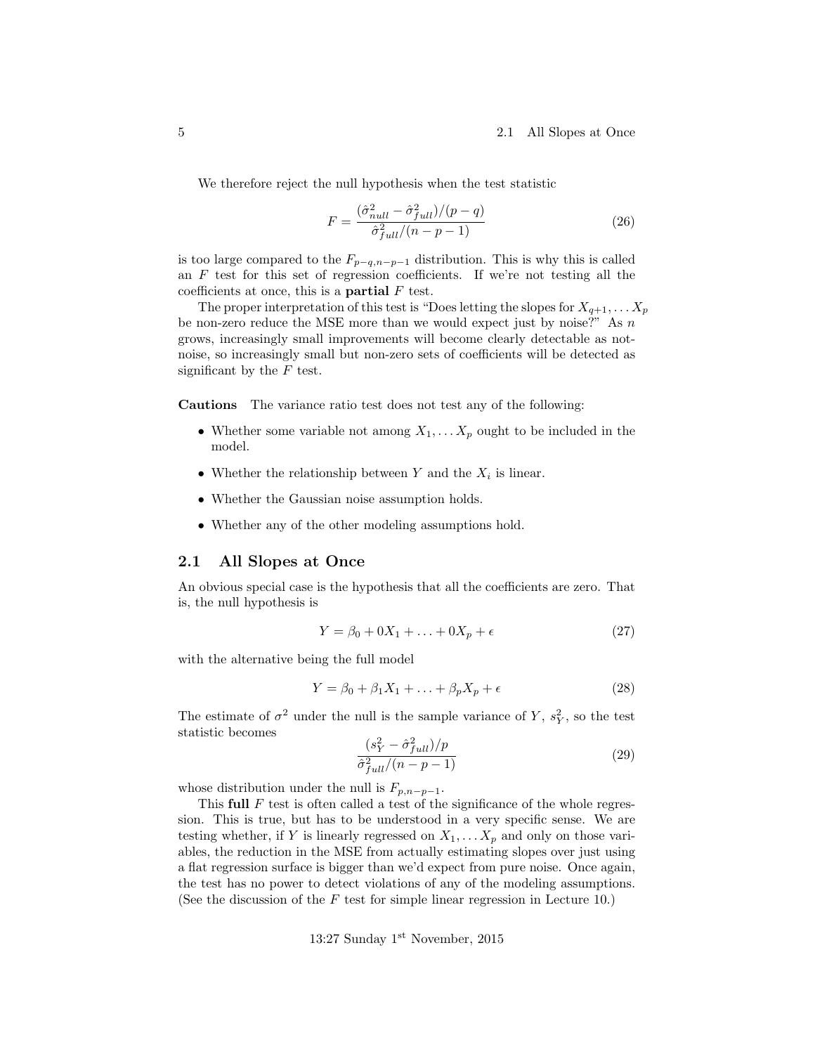We therefore reject the null hypothesis when the test statistic

$$
F = \frac{(\hat{\sigma}_{null}^2 - \hat{\sigma}_{full}^2)/(p - q)}{\hat{\sigma}_{full}^2/(n - p - 1)}
$$
\n(26)

is too large compared to the  $F_{p-q,n-p-1}$  distribution. This is why this is called an  $F$  test for this set of regression coefficients. If we're not testing all the coefficients at once, this is a **partial**  $F$  test.

The proper interpretation of this test is "Does letting the slopes for  $X_{q+1}, \ldots X_p$ be non-zero reduce the MSE more than we would expect just by noise?" As  $n$ grows, increasingly small improvements will become clearly detectable as notnoise, so increasingly small but non-zero sets of coefficients will be detected as significant by the  $F$  test.

Cautions The variance ratio test does not test any of the following:

- Whether some variable not among  $X_1, \ldots X_p$  ought to be included in the model.
- Whether the relationship between Y and the  $X_i$  is linear.
- Whether the Gaussian noise assumption holds.
- Whether any of the other modeling assumptions hold.

#### <span id="page-4-0"></span>2.1 All Slopes at Once

An obvious special case is the hypothesis that all the coefficients are zero. That is, the null hypothesis is

$$
Y = \beta_0 + 0X_1 + \ldots + 0X_p + \epsilon \tag{27}
$$

with the alternative being the full model

$$
Y = \beta_0 + \beta_1 X_1 + \ldots + \beta_p X_p + \epsilon \tag{28}
$$

The estimate of  $\sigma^2$  under the null is the sample variance of Y,  $s_Y^2$ , so the test statistic becomes

$$
\frac{(s_Y^2 - \hat{\sigma}_{full}^2)/p}{\hat{\sigma}_{full}^2/(n-p-1)}
$$
\n(29)

whose distribution under the null is  $F_{p,n-p-1}$ .

This full  $F$  test is often called a test of the significance of the whole regression. This is true, but has to be understood in a very specific sense. We are testing whether, if Y is linearly regressed on  $X_1, \ldots X_p$  and only on those variables, the reduction in the MSE from actually estimating slopes over just using a flat regression surface is bigger than we'd expect from pure noise. Once again, the test has no power to detect violations of any of the modeling assumptions. (See the discussion of the  $F$  test for simple linear regression in Lecture 10.)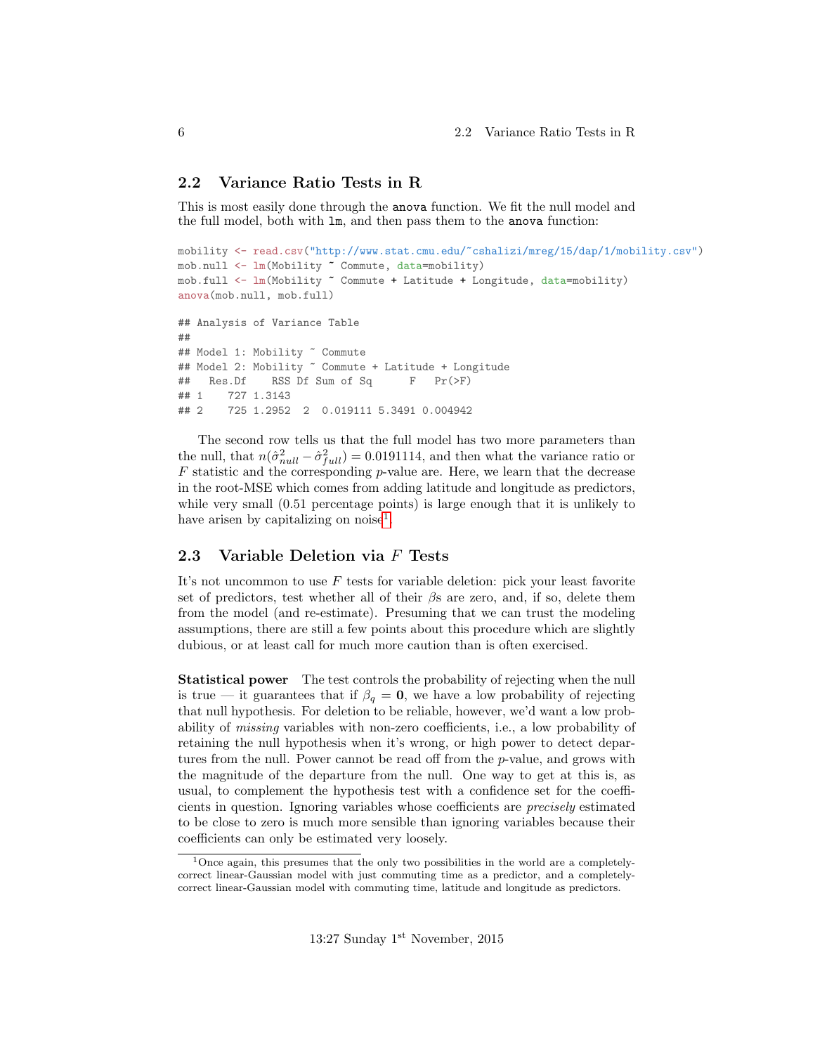### <span id="page-5-0"></span>2.2 Variance Ratio Tests in R

This is most easily done through the anova function. We fit the null model and the full model, both with lm, and then pass them to the anova function:

```
mobility <- read.csv("http://www.stat.cmu.edu/~cshalizi/mreg/15/dap/1/mobility.csv")
mob.null <- lm(Mobility ~ Commute, data=mobility)
mob.full <- lm(Mobility ~ Commute + Latitude + Longitude, data=mobility)
anova(mob.null, mob.full)
## Analysis of Variance Table
##
## Model 1: Mobility ~ Commute
## Model 2: Mobility ~ Commute + Latitude + Longitude
## Res.Df RSS Df Sum of Sq F Pr(>F)
## 1 727 1.3143
## 2 725 1.2952 2 0.019111 5.3491 0.004942
```
The second row tells us that the full model has two more parameters than the null, that  $n(\hat{\sigma}_{null}^2 - \hat{\sigma}_{full}^2) = 0.0191114$ , and then what the variance ratio or  $F$  statistic and the corresponding  $p$ -value are. Here, we learn that the decrease in the root-MSE which comes from adding latitude and longitude as predictors, while very small  $(0.51$  percentage points) is large enough that it is unlikely to have arisen by capitalizing on noise<sup>[1](#page-5-2)</sup>.

### <span id="page-5-1"></span>2.3 Variable Deletion via F Tests

It's not uncommon to use  $F$  tests for variable deletion: pick your least favorite set of predictors, test whether all of their  $\beta s$  are zero, and, if so, delete them from the model (and re-estimate). Presuming that we can trust the modeling assumptions, there are still a few points about this procedure which are slightly dubious, or at least call for much more caution than is often exercised.

Statistical power The test controls the probability of rejecting when the null is true — it guarantees that if  $\beta_q = 0$ , we have a low probability of rejecting that null hypothesis. For deletion to be reliable, however, we'd want a low probability of missing variables with non-zero coefficients, i.e., a low probability of retaining the null hypothesis when it's wrong, or high power to detect departures from the null. Power cannot be read off from the p-value, and grows with the magnitude of the departure from the null. One way to get at this is, as usual, to complement the hypothesis test with a confidence set for the coefficients in question. Ignoring variables whose coefficients are precisely estimated to be close to zero is much more sensible than ignoring variables because their coefficients can only be estimated very loosely.

<span id="page-5-2"></span><sup>&</sup>lt;sup>1</sup>Once again, this presumes that the only two possibilities in the world are a completelycorrect linear-Gaussian model with just commuting time as a predictor, and a completelycorrect linear-Gaussian model with commuting time, latitude and longitude as predictors.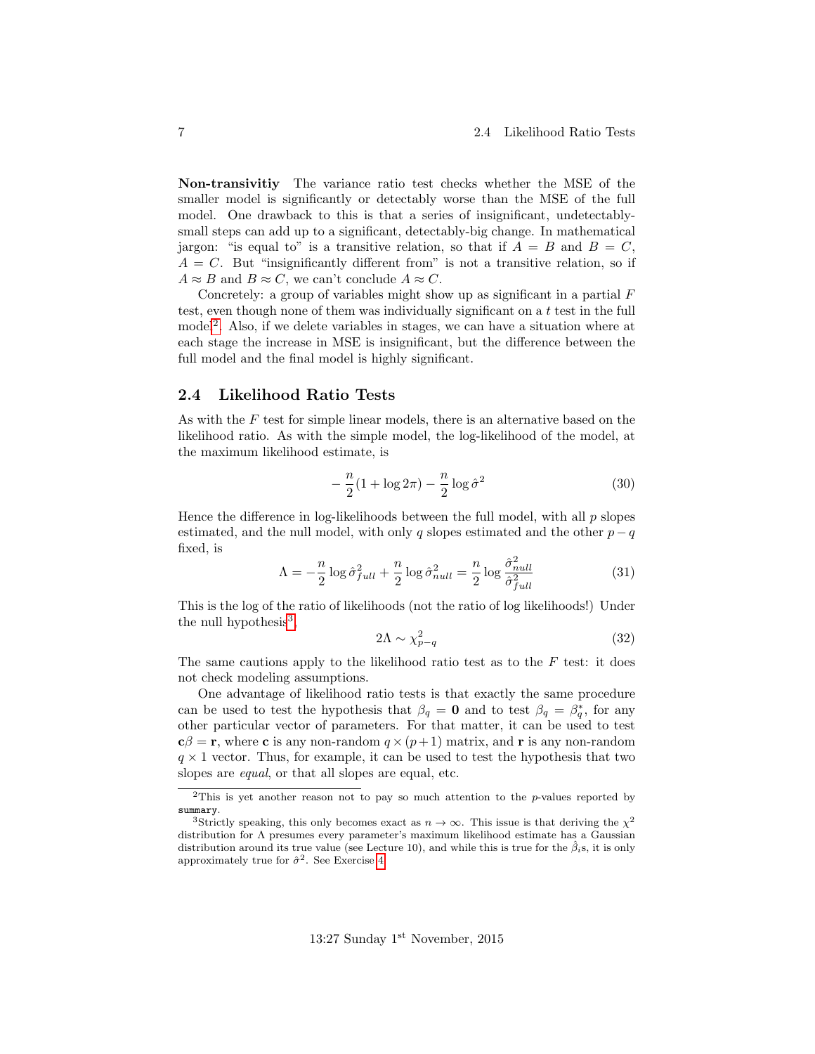Non-transivitiy The variance ratio test checks whether the MSE of the smaller model is significantly or detectably worse than the MSE of the full model. One drawback to this is that a series of insignificant, undetectablysmall steps can add up to a significant, detectably-big change. In mathematical jargon: "is equal to" is a transitive relation, so that if  $A = B$  and  $B = C$ ,  $A = C$ . But "insignificantly different from" is not a transitive relation, so if  $A \approx B$  and  $B \approx C$ , we can't conclude  $A \approx C$ .

Concretely: a group of variables might show up as significant in a partial  $F$ test, even though none of them was individually significant on a t test in the full model<sup>[2](#page-6-1)</sup>. Also, if we delete variables in stages, we can have a situation where at each stage the increase in MSE is insignificant, but the difference between the full model and the final model is highly significant.

### <span id="page-6-0"></span>2.4 Likelihood Ratio Tests

As with the F test for simple linear models, there is an alternative based on the likelihood ratio. As with the simple model, the log-likelihood of the model, at the maximum likelihood estimate, is

$$
-\frac{n}{2}(1+\log 2\pi)-\frac{n}{2}\log \hat{\sigma}^2\tag{30}
$$

Hence the difference in log-likelihoods between the full model, with all  $p$  slopes estimated, and the null model, with only q slopes estimated and the other  $p - q$ fixed, is

$$
\Lambda = -\frac{n}{2}\log \hat{\sigma}_{full}^2 + \frac{n}{2}\log \hat{\sigma}_{null}^2 = \frac{n}{2}\log \frac{\hat{\sigma}_{null}^2}{\hat{\sigma}_{full}^2}
$$
(31)

This is the log of the ratio of likelihoods (not the ratio of log likelihoods!) Under the null hypothesis $3$ ,

$$
2\Lambda \sim \chi_{p-q}^2 \tag{32}
$$

The same cautions apply to the likelihood ratio test as to the  $F$  test: it does not check modeling assumptions.

One advantage of likelihood ratio tests is that exactly the same procedure can be used to test the hypothesis that  $\beta_q = \mathbf{0}$  and to test  $\beta_q = \beta_q^*$ , for any other particular vector of parameters. For that matter, it can be used to test  $c\beta = r$ , where c is any non-random  $q \times (p+1)$  matrix, and r is any non-random  $q \times 1$  vector. Thus, for example, it can be used to test the hypothesis that two slopes are equal, or that all slopes are equal, etc.

<span id="page-6-1"></span><sup>&</sup>lt;sup>2</sup>This is yet another reason not to pay so much attention to the *p*-values reported by summary.

<span id="page-6-2"></span><sup>&</sup>lt;sup>3</sup>Strictly speaking, this only becomes exact as  $n \to \infty$ . This issue is that deriving the  $\chi^2$ distribution for Λ presumes every parameter's maximum likelihood estimate has a Gaussian distribution around its true value (see Lecture 10), and while this is true for the  $\hat{\beta}_i$ s, it is only approximately true for  $\hat{\sigma}^2$ . See Exercise [4.](#page-16-3)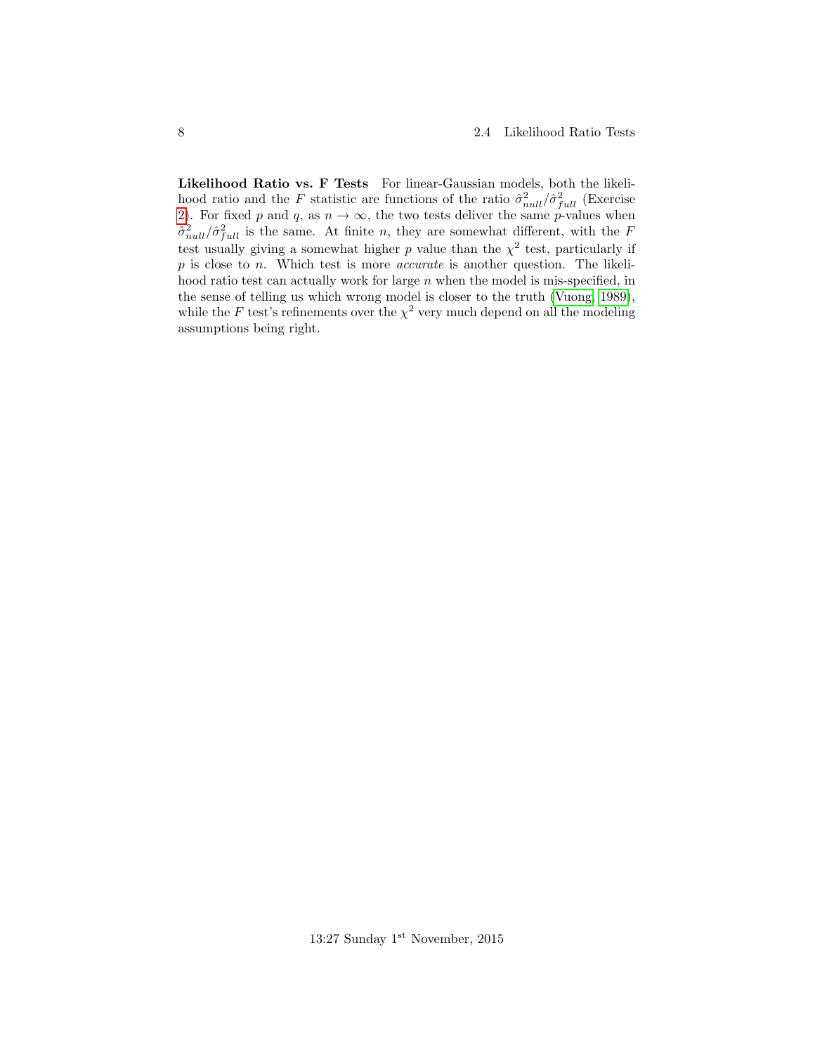Likelihood Ratio vs. F Tests For linear-Gaussian models, both the likelihood ratio and the F statistic are functions of the ratio  $\hat{\sigma}_{null}^2/\hat{\sigma}_{full}^2$  (Exercise [2\)](#page-16-4). For fixed p and q, as  $n \to \infty$ , the two tests deliver the same p-values when  $\hat{\sigma}_{null}^2 / \hat{\sigma}_{full}^2$  is the same. At finite n, they are somewhat different, with the F test usually giving a somewhat higher p value than the  $\chi^2$  test, particularly if  $p$  is close to  $n$ . Which test is more *accurate* is another question. The likelihood ratio test can actually work for large  $n$  when the model is mis-specified, in the sense of telling us which wrong model is closer to the truth [\(Vuong, 1989\)](#page-17-0), while the F test's refinements over the  $\chi^2$  very much depend on all the modeling assumptions being right.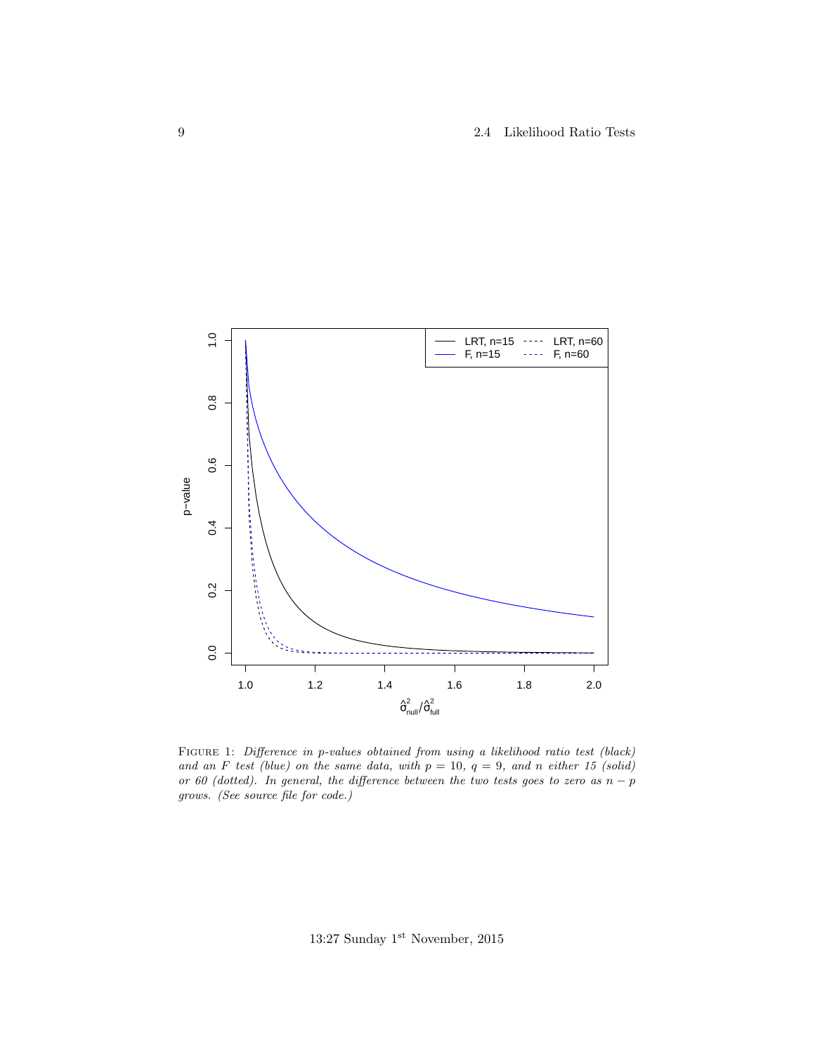9 2.4 Likelihood Ratio Tests



FIGURE 1: Difference in p-values obtained from using a likelihood ratio test (black) and an F test (blue) on the same data, with  $p = 10$ ,  $q = 9$ , and n either 15 (solid) or 60 (dotted). In general, the difference between the two tests goes to zero as  $n - p$ grows. (See source file for code.)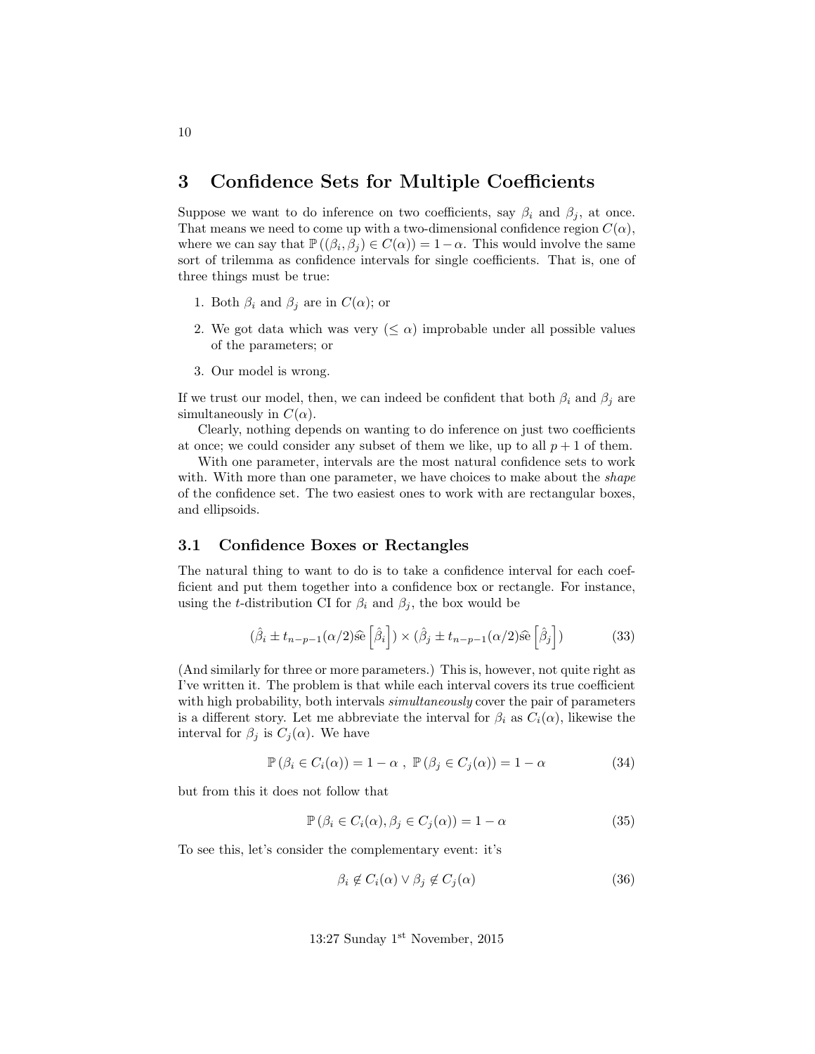# <span id="page-9-0"></span>3 Confidence Sets for Multiple Coefficients

Suppose we want to do inference on two coefficients, say  $\beta_i$  and  $\beta_j$ , at once. That means we need to come up with a two-dimensional confidence region  $C(\alpha)$ , where we can say that  $\mathbb{P}((\beta_i, \beta_j) \in C(\alpha)) = 1 - \alpha$ . This would involve the same sort of trilemma as confidence intervals for single coefficients. That is, one of three things must be true:

- 1. Both  $\beta_i$  and  $\beta_j$  are in  $C(\alpha)$ ; or
- 2. We got data which was very  $(\leq \alpha)$  improbable under all possible values of the parameters; or
- 3. Our model is wrong.

If we trust our model, then, we can indeed be confident that both  $\beta_i$  and  $\beta_j$  are simultaneously in  $C(\alpha)$ .

Clearly, nothing depends on wanting to do inference on just two coefficients at once; we could consider any subset of them we like, up to all  $p + 1$  of them.

With one parameter, intervals are the most natural confidence sets to work with. With more than one parameter, we have choices to make about the *shape* of the confidence set. The two easiest ones to work with are rectangular boxes, and ellipsoids.

### <span id="page-9-1"></span>3.1 Confidence Boxes or Rectangles

The natural thing to want to do is to take a confidence interval for each coefficient and put them together into a confidence box or rectangle. For instance, using the t-distribution CI for  $\beta_i$  and  $\beta_j$ , the box would be

$$
(\hat{\beta}_i \pm t_{n-p-1}(\alpha/2)\hat{\mathfrak{se}}\left[\hat{\beta}_i\right]) \times (\hat{\beta}_j \pm t_{n-p-1}(\alpha/2)\hat{\mathfrak{se}}\left[\hat{\beta}_j\right])\tag{33}
$$

(And similarly for three or more parameters.) This is, however, not quite right as I've written it. The problem is that while each interval covers its true coefficient with high probability, both intervals  $simultaneously$  cover the pair of parameters is a different story. Let me abbreviate the interval for  $\beta_i$  as  $C_i(\alpha)$ , likewise the interval for  $\beta_j$  is  $C_j(\alpha)$ . We have

$$
\mathbb{P}\left(\beta_i \in C_i(\alpha)\right) = 1 - \alpha , \ \mathbb{P}\left(\beta_j \in C_j(\alpha)\right) = 1 - \alpha \tag{34}
$$

but from this it does not follow that

$$
\mathbb{P}\left(\beta_i \in C_i(\alpha), \beta_j \in C_j(\alpha)\right) = 1 - \alpha \tag{35}
$$

To see this, let's consider the complementary event: it's

$$
\beta_i \notin C_i(\alpha) \lor \beta_j \notin C_j(\alpha) \tag{36}
$$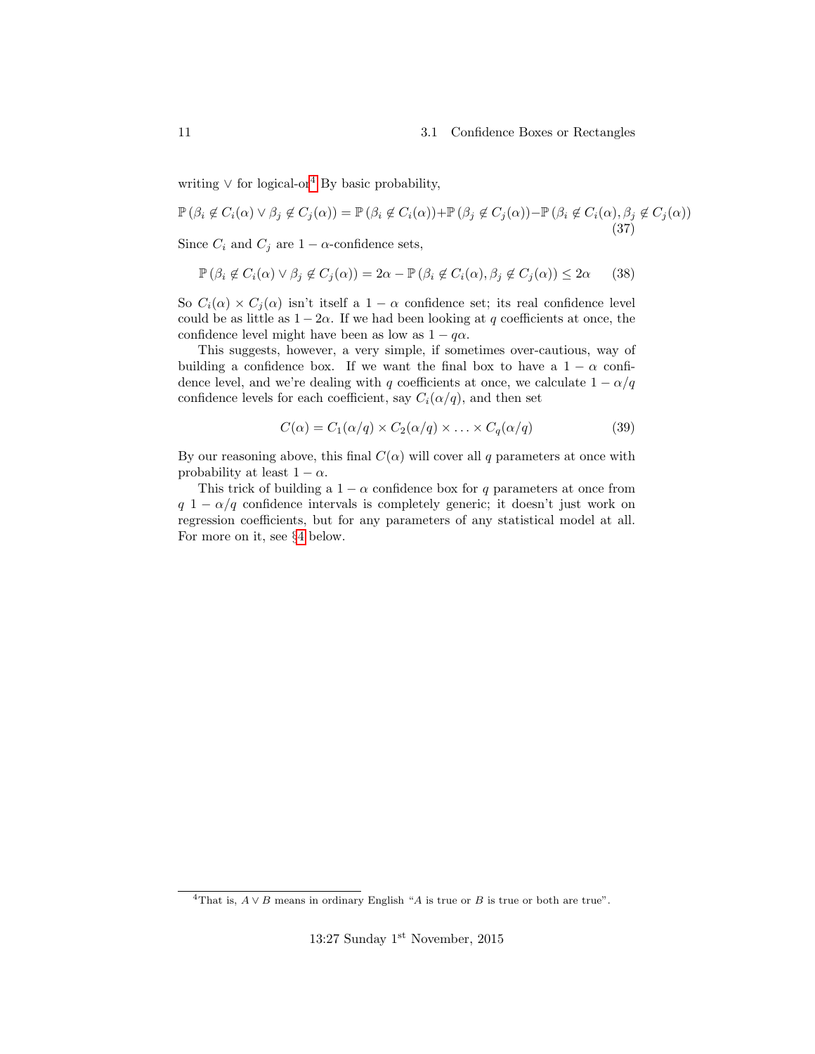#### 11 3.1 Confidence Boxes or Rectangles

writing  $\vee$  for logical-or<sup>[4](#page-10-0)</sup> By basic probability,

$$
\mathbb{P}(\beta_i \notin C_i(\alpha) \lor \beta_j \notin C_j(\alpha)) = \mathbb{P}(\beta_i \notin C_i(\alpha)) + \mathbb{P}(\beta_j \notin C_j(\alpha)) - \mathbb{P}(\beta_i \notin C_i(\alpha), \beta_j \notin C_j(\alpha))
$$
\n(37)

Since  $C_i$  and  $C_j$  are  $1 - \alpha$ -confidence sets,

$$
\mathbb{P}\left(\beta_i \notin C_i(\alpha) \lor \beta_j \notin C_j(\alpha)\right) = 2\alpha - \mathbb{P}\left(\beta_i \notin C_i(\alpha), \beta_j \notin C_j(\alpha)\right) \le 2\alpha \tag{38}
$$

So  $C_i(\alpha) \times C_j(\alpha)$  isn't itself a 1 –  $\alpha$  confidence set; its real confidence level could be as little as  $1 - 2\alpha$ . If we had been looking at q coefficients at once, the confidence level might have been as low as  $1 - q\alpha$ .

This suggests, however, a very simple, if sometimes over-cautious, way of building a confidence box. If we want the final box to have a  $1 - \alpha$  confidence level, and we're dealing with q coefficients at once, we calculate  $1 - \alpha/q$ confidence levels for each coefficient, say  $C_i(\alpha/q)$ , and then set

$$
C(\alpha) = C_1(\alpha/q) \times C_2(\alpha/q) \times \ldots \times C_q(\alpha/q)
$$
\n(39)

By our reasoning above, this final  $C(\alpha)$  will cover all q parameters at once with probability at least  $1 - \alpha$ .

This trick of building a  $1 - \alpha$  confidence box for q parameters at once from  $q 1 - \alpha/q$  confidence intervals is completely generic; it doesn't just work on regression coefficients, but for any parameters of any statistical model at all. For more on it, see §[4](#page-16-0) below.

<span id="page-10-0"></span><sup>&</sup>lt;sup>4</sup>That is,  $A \vee B$  means in ordinary English "A is true or B is true or both are true".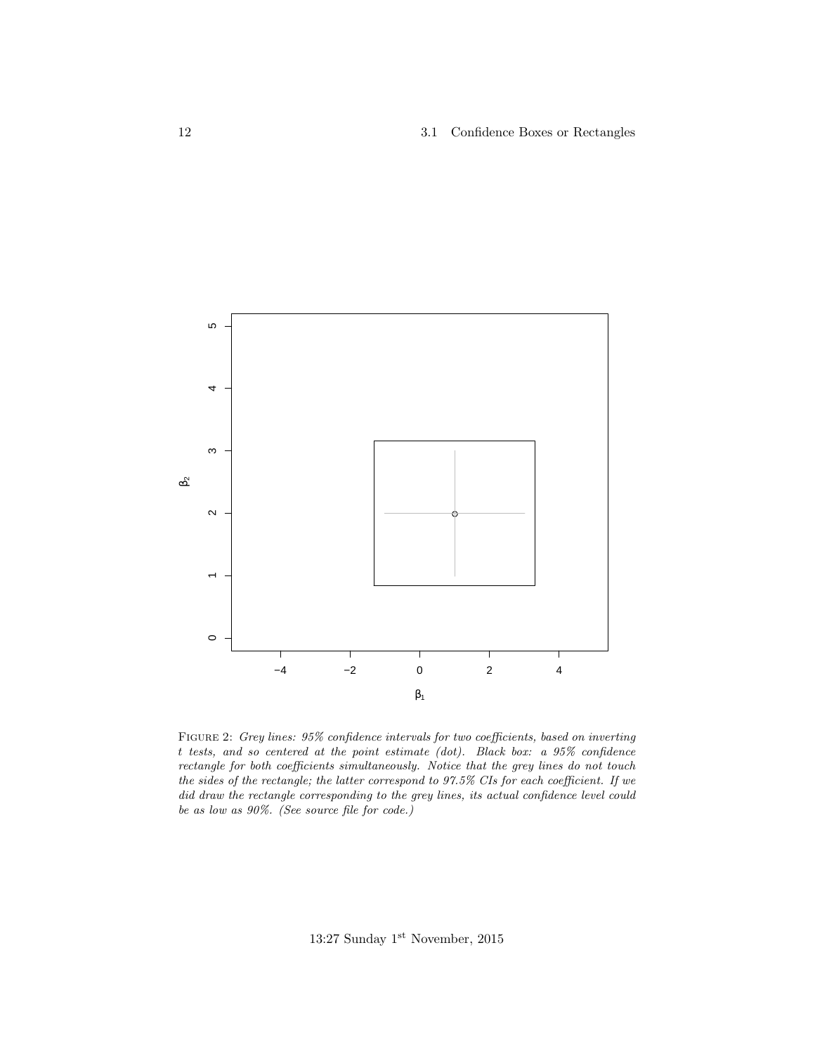

FIGURE 2: Grey lines: 95% confidence intervals for two coefficients, based on inverting t tests, and so centered at the point estimate (dot). Black box: a 95% confidence rectangle for both coefficients simultaneously. Notice that the grey lines do not touch the sides of the rectangle; the latter correspond to 97.5% CIs for each coefficient. If we did draw the rectangle corresponding to the grey lines, its actual confidence level could be as low as 90%. (See source file for code.)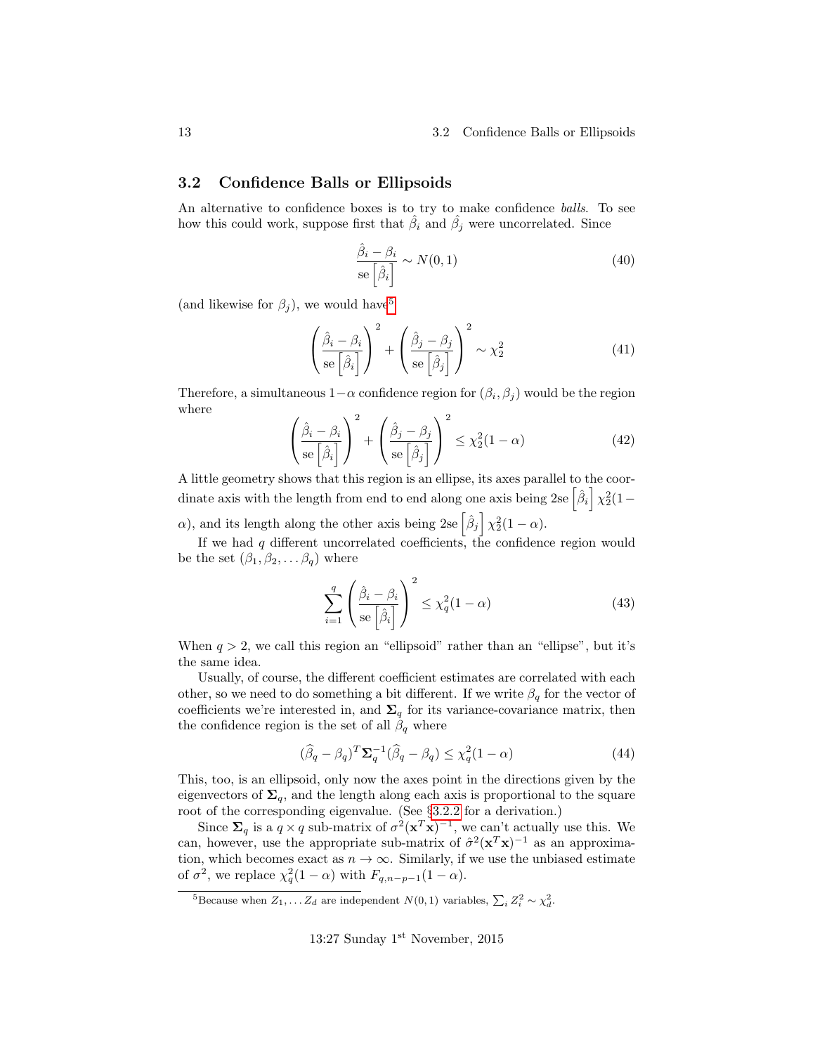### <span id="page-12-0"></span>3.2 Confidence Balls or Ellipsoids

An alternative to confidence boxes is to try to make confidence balls. To see how this could work, suppose first that  $\hat{\beta}_i$  and  $\hat{\beta}_j$  were uncorrelated. Since

$$
\frac{\hat{\beta}_i - \beta_i}{\text{se}\left[\hat{\beta}_i\right]} \sim N(0, 1) \tag{40}
$$

(and likewise for  $\beta_j$ ), we would have<sup>[5](#page-12-1)</sup>

$$
\left(\frac{\hat{\beta}_i - \beta_i}{\text{se}\left[\hat{\beta}_i\right]}\right)^2 + \left(\frac{\hat{\beta}_j - \beta_j}{\text{se}\left[\hat{\beta}_j\right]}\right)^2 \sim \chi_2^2\tag{41}
$$

Therefore, a simultaneous  $1-\alpha$  confidence region for  $(\beta_i, \beta_j)$  would be the region where

$$
\left(\frac{\hat{\beta}_i - \beta_i}{\text{se}\left[\hat{\beta}_i\right]}\right)^2 + \left(\frac{\hat{\beta}_j - \beta_j}{\text{se}\left[\hat{\beta}_j\right]}\right)^2 \le \chi_2^2 (1 - \alpha) \tag{42}
$$

A little geometry shows that this region is an ellipse, its axes parallel to the coordinate axis with the length from end to end along one axis being 2se  $\left[\hat{\beta}_i\right] \chi_2^2(1-\}$  $\alpha$ ), and its length along the other axis being 2se  $\left[\hat{\beta}_j\right] \chi_2^2(1-\alpha)$ .

If we had  $q$  different uncorrelated coefficients, the confidence region would be the set  $(\beta_1, \beta_2, \ldots \beta_q)$  where

$$
\sum_{i=1}^{q} \left( \frac{\hat{\beta}_i - \beta_i}{\text{se}\left[\hat{\beta}_i\right]} \right)^2 \le \chi_q^2 (1 - \alpha) \tag{43}
$$

When  $q > 2$ , we call this region an "ellipsoid" rather than an "ellipse", but it's the same idea.

Usually, of course, the different coefficient estimates are correlated with each other, so we need to do something a bit different. If we write  $\beta_q$  for the vector of coefficients we're interested in, and  $\Sigma_q$  for its variance-covariance matrix, then the confidence region is the set of all  $\beta_q$  where

$$
(\widehat{\beta}_q - \beta_q)^T \Sigma_q^{-1} (\widehat{\beta}_q - \beta_q) \le \chi_q^2 (1 - \alpha) \tag{44}
$$

This, too, is an ellipsoid, only now the axes point in the directions given by the eigenvectors of  $\Sigma_q$ , and the length along each axis is proportional to the square root of the corresponding eigenvalue. (See §[3.2.2](#page-15-0) for a derivation.)

Since  $\Sigma_q$  is a  $q \times q$  sub-matrix of  $\sigma^2(\mathbf{x}^T\mathbf{x})^{-1}$ , we can't actually use this. We can, however, use the appropriate sub-matrix of  $\hat{\sigma}^2(\mathbf{x}^T\mathbf{x})^{-1}$  as an approximation, which becomes exact as  $n \to \infty$ . Similarly, if we use the unbiased estimate of  $\sigma^2$ , we replace  $\chi_q^2(1-\alpha)$  with  $F_{q,n-p-1}(1-\alpha)$ .

<span id="page-12-1"></span><sup>&</sup>lt;sup>5</sup>Because when  $Z_1, \ldots Z_d$  are independent  $N(0, 1)$  variables,  $\sum_i Z_i^2 \sim \chi_d^2$ .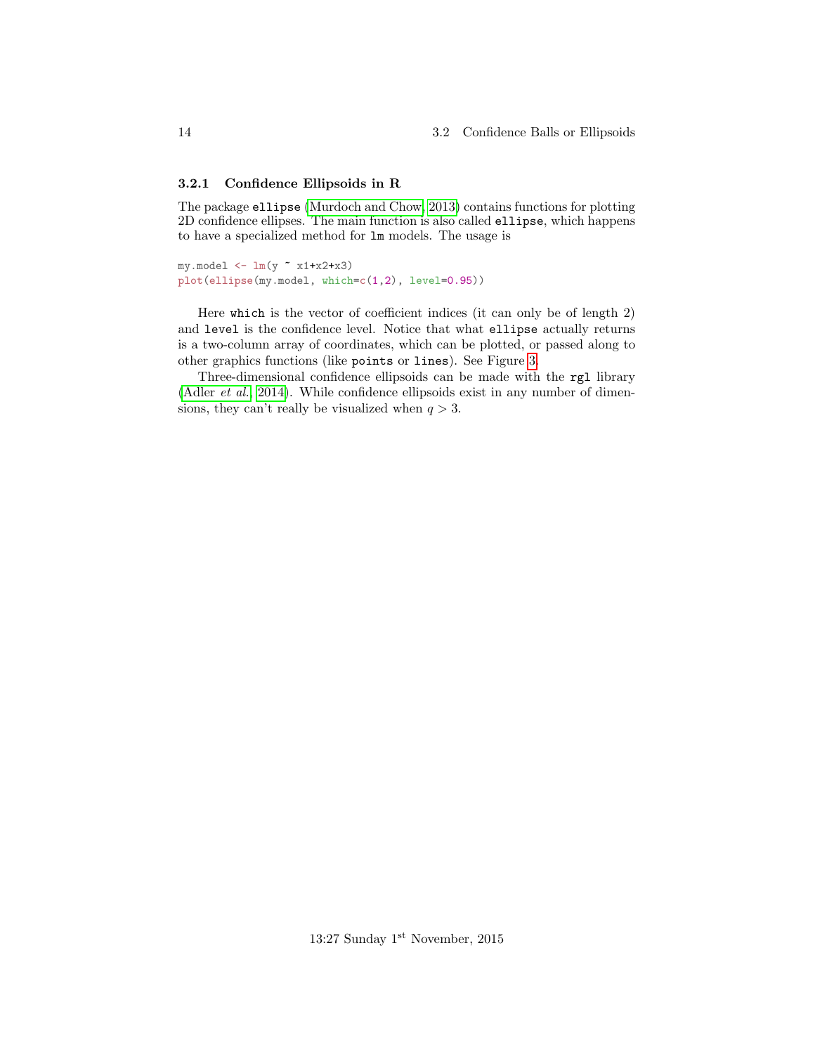### <span id="page-13-0"></span>3.2.1 Confidence Ellipsoids in R

The package ellipse [\(Murdoch and Chow, 2013\)](#page-17-1) contains functions for plotting 2D confidence ellipses. The main function is also called ellipse, which happens to have a specialized method for lm models. The usage is

```
my.model \leftarrow \text{lm}(y \text{ x1+x2+x3})plot(ellipse(my.model, which=c(1,2), level=0.95))
```
Here which is the vector of coefficient indices (it can only be of length 2) and level is the confidence level. Notice that what ellipse actually returns is a two-column array of coordinates, which can be plotted, or passed along to other graphics functions (like points or lines). See Figure [3.](#page-14-0)

Three-dimensional confidence ellipsoids can be made with the rgl library [\(Adler](#page-17-2) et al., [2014\)](#page-17-2). While confidence ellipsoids exist in any number of dimensions, they can't really be visualized when  $q > 3$ .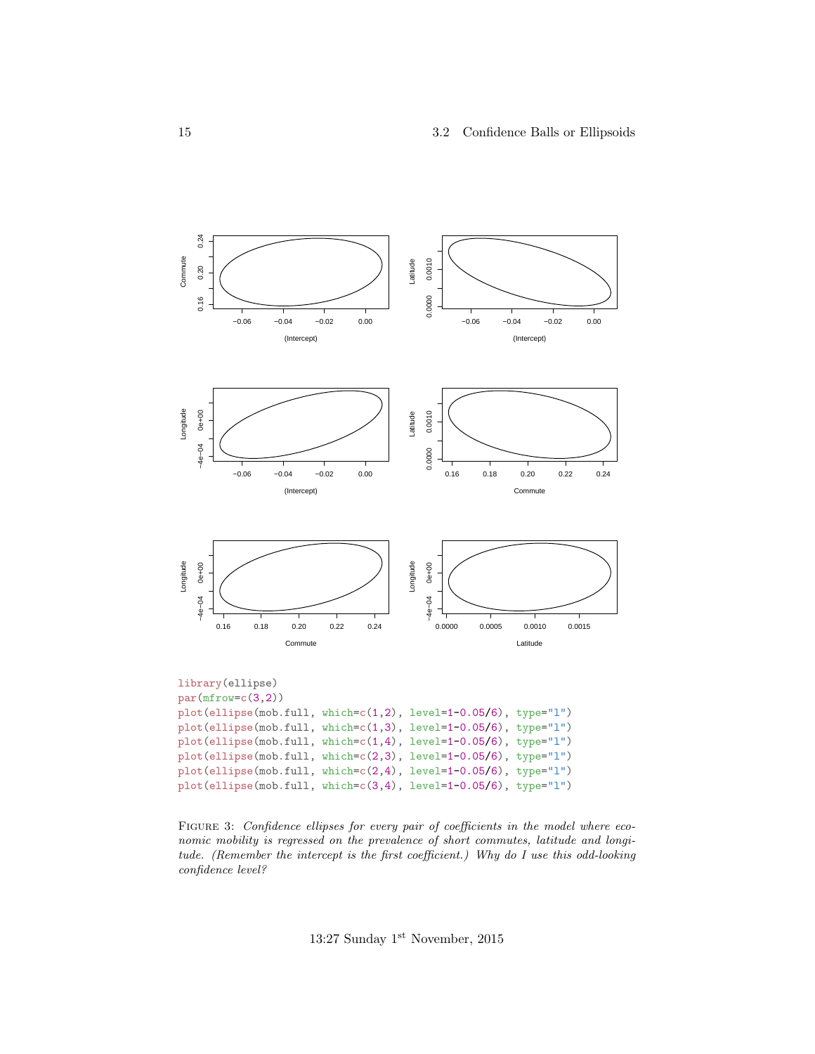<span id="page-14-0"></span>

FIGURE 3: Confidence ellipses for every pair of coefficients in the model where economic mobility is regressed on the prevalence of short commutes, latitude and longitude. (Remember the intercept is the first coefficient.) Why do I use this odd-looking confidence level?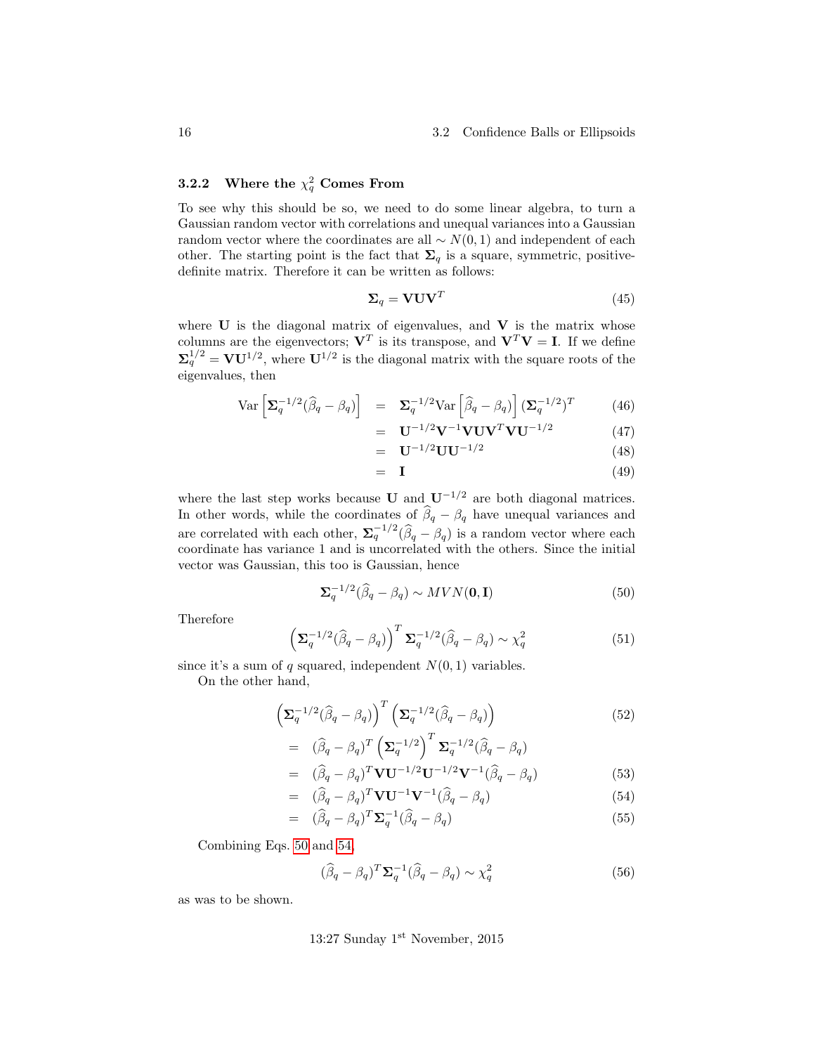# <span id="page-15-0"></span>**3.2.2** Where the  $\chi_q^2$  Comes From

To see why this should be so, we need to do some linear algebra, to turn a Gaussian random vector with correlations and unequal variances into a Gaussian random vector where the coordinates are all  $\sim N(0, 1)$  and independent of each other. The starting point is the fact that  $\Sigma_q$  is a square, symmetric, positivedefinite matrix. Therefore it can be written as follows:

$$
\Sigma_q = \mathbf{V} \mathbf{U} \mathbf{V}^T \tag{45}
$$

where  $U$  is the diagonal matrix of eigenvalues, and  $V$  is the matrix whose columns are the eigenvectors;  $V^T$  is its transpose, and  $V^T V = I$ . If we define  $\mathbf{\Sigma}_q^{1/2} = \mathbf{V} \mathbf{U}^{1/2}$ , where  $\mathbf{U}^{1/2}$  is the diagonal matrix with the square roots of the eigenvalues, then

$$
\text{Var}\left[\Sigma_q^{-1/2}(\widehat{\beta}_q - \beta_q)\right] = \Sigma_q^{-1/2} \text{Var}\left[\widehat{\beta}_q - \beta_q\right] (\Sigma_q^{-1/2})^T \tag{46}
$$

$$
= \mathbf{U}^{-1/2} \mathbf{V}^{-1} \mathbf{V} \mathbf{U} \mathbf{V}^T \mathbf{V} \mathbf{U}^{-1/2} \tag{47}
$$

$$
= \mathbf{U}^{-1/2} \mathbf{U} \mathbf{U}^{-1/2} \tag{48}
$$

$$
= I \tag{49}
$$

where the last step works because U and  $U^{-1/2}$  are both diagonal matrices. In other words, while the coordinates of  $\beta_q - \beta_q$  have unequal variances and are correlated with each other,  $\Sigma_q^{-1/2}(\widehat{\beta}_q - \beta_q)$  is a random vector where each coordinate has variance 1 and is uncorrelated with the others. Since the initial vector was Gaussian, this too is Gaussian, hence

<span id="page-15-1"></span>
$$
\Sigma_q^{-1/2}(\widehat{\beta}_q - \beta_q) \sim MVN(\mathbf{0}, \mathbf{I})\tag{50}
$$

Therefore

<span id="page-15-2"></span>
$$
\left(\Sigma_q^{-1/2}(\widehat{\beta}_q - \beta_q)\right)^T \Sigma_q^{-1/2}(\widehat{\beta}_q - \beta_q) \sim \chi_q^2 \tag{51}
$$

since it's a sum of q squared, independent  $N(0, 1)$  variables.

On the other hand,

$$
\left(\Sigma_q^{-1/2}(\widehat{\beta}_q - \beta_q)\right)^T \left(\Sigma_q^{-1/2}(\widehat{\beta}_q - \beta_q)\right) \tag{52}
$$

$$
= (\widehat{\beta}_q - \beta_q)^T \left( \Sigma_q^{-1/2} \right)^T \Sigma_q^{-1/2} (\widehat{\beta}_q - \beta_q)
$$

$$
= (\widehat{\beta}_q - \beta_q)^T \mathbf{V} \mathbf{U}^{-1/2} \mathbf{U}^{-1/2} \mathbf{V}^{-1} (\widehat{\beta}_q - \beta_q)
$$
(53)

$$
= (\widehat{\beta}_q - \beta_q)^T \mathbf{V} \mathbf{U}^{-1} \mathbf{V}^{-1} (\widehat{\beta}_q - \beta_q) \tag{54}
$$

$$
= (\widehat{\beta}_q - \beta_q)^T \Sigma_q^{-1} (\widehat{\beta}_q - \beta_q) \tag{55}
$$

Combining Eqs. [50](#page-15-1) and [54,](#page-15-2)

$$
(\widehat{\beta}_q - \beta_q)^T \Sigma_q^{-1} (\widehat{\beta}_q - \beta_q) \sim \chi_q^2 \tag{56}
$$

as was to be shown.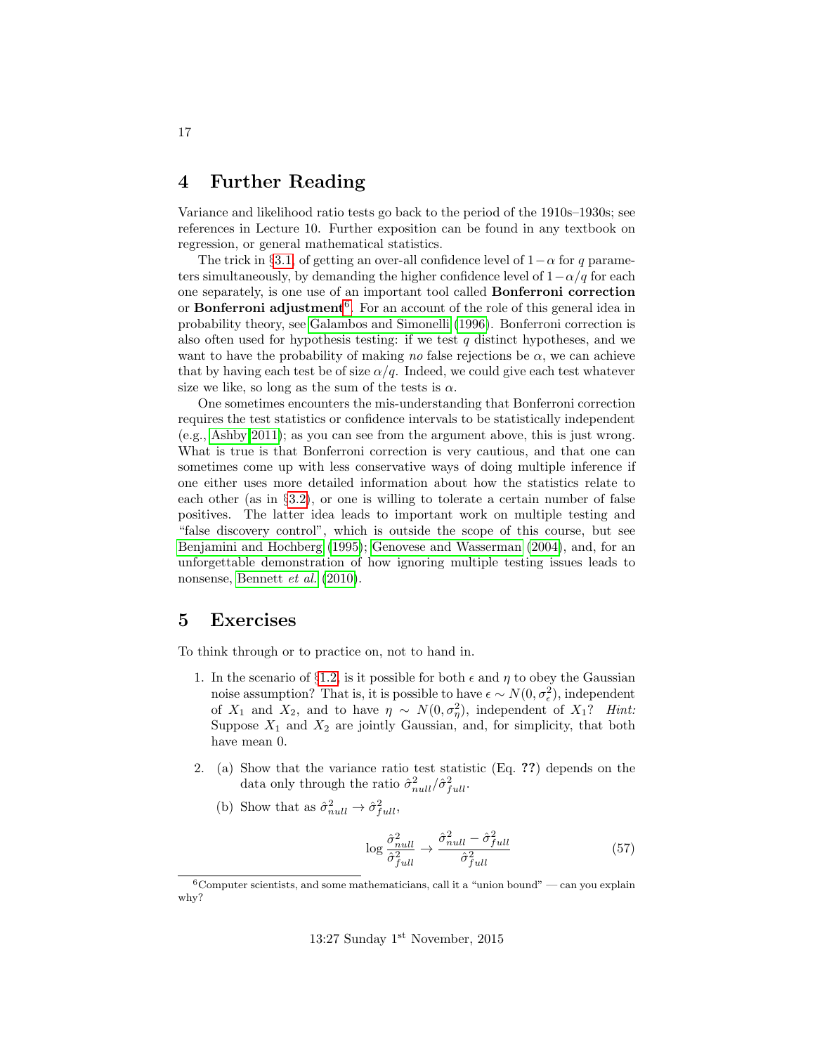# <span id="page-16-0"></span>4 Further Reading

Variance and likelihood ratio tests go back to the period of the 1910s–1930s; see references in Lecture 10. Further exposition can be found in any textbook on regression, or general mathematical statistics.

The trick in §[3.1,](#page-9-1) of getting an over-all confidence level of  $1-\alpha$  for q parameters simultaneously, by demanding the higher confidence level of  $1-\alpha/q$  for each one separately, is one use of an important tool called Bonferroni correction or **Bonferroni adjustment**<sup>[6](#page-16-5)</sup>. For an account of the role of this general idea in probability theory, see [Galambos and Simonelli](#page-17-3) [\(1996\)](#page-17-3). Bonferroni correction is also often used for hypothesis testing: if we test  $q$  distinct hypotheses, and we want to have the probability of making no false rejections be  $\alpha$ , we can achieve that by having each test be of size  $\alpha/q$ . Indeed, we could give each test whatever size we like, so long as the sum of the tests is  $\alpha$ .

One sometimes encounters the mis-understanding that Bonferroni correction requires the test statistics or confidence intervals to be statistically independent (e.g., [Ashby 2011\)](#page-17-4); as you can see from the argument above, this is just wrong. What is true is that Bonferroni correction is very cautious, and that one can sometimes come up with less conservative ways of doing multiple inference if one either uses more detailed information about how the statistics relate to each other (as in §[3.2\)](#page-12-0), or one is willing to tolerate a certain number of false positives. The latter idea leads to important work on multiple testing and "false discovery control", which is outside the scope of this course, but see [Benjamini and Hochberg](#page-17-5) [\(1995\)](#page-17-5); [Genovese and Wasserman](#page-17-6) [\(2004\)](#page-17-6), and, for an unforgettable demonstration of how ignoring multiple testing issues leads to nonsense, [Bennett](#page-17-7) et al. [\(2010\)](#page-17-7).

# <span id="page-16-1"></span>5 Exercises

<span id="page-16-2"></span>To think through or to practice on, not to hand in.

- 1. In the scenario of §[1.2,](#page-2-1) is it possible for both  $\epsilon$  and  $\eta$  to obey the Gaussian noise assumption? That is, it is possible to have  $\epsilon \sim N(0, \sigma_{\epsilon}^2)$ , independent of  $X_1$  and  $X_2$ , and to have  $\eta \sim N(0, \sigma_{\eta}^2)$ , independent of  $X_1$ ? Hint: Suppose  $X_1$  and  $X_2$  are jointly Gaussian, and, for simplicity, that both have mean 0.
- <span id="page-16-4"></span><span id="page-16-3"></span>2. (a) Show that the variance ratio test statistic (Eq. ??) depends on the data only through the ratio  $\hat{\sigma}_{null}^2/\hat{\sigma}_{full}^2$ .
	- (b) Show that as  $\hat{\sigma}_{null}^2 \rightarrow \hat{\sigma}_{full}^2$ ,

$$
\log \frac{\hat{\sigma}_{null}^2}{\hat{\sigma}_{full}^2} \to \frac{\hat{\sigma}_{null}^2 - \hat{\sigma}_{full}^2}{\hat{\sigma}_{full}^2} \tag{57}
$$

<span id="page-16-5"></span> $6$ Computer scientists, and some mathematicians, call it a "union bound" — can you explain why?